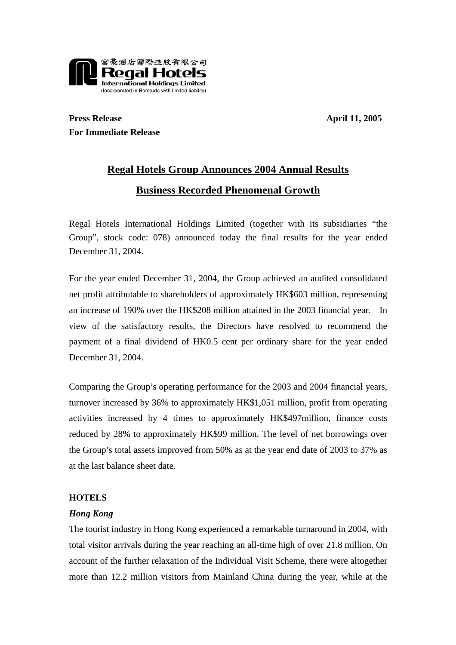

**Press Release** April 11, 2005 **For Immediate Release** 

# **Regal Hotels Group Announces 2004 Annual Results Business Recorded Phenomenal Growth**

Regal Hotels International Holdings Limited (together with its subsidiaries "the Group", stock code: 078) announced today the final results for the year ended December 31, 2004.

For the year ended December 31, 2004, the Group achieved an audited consolidated net profit attributable to shareholders of approximately HK\$603 million, representing an increase of 190% over the HK\$208 million attained in the 2003 financial year. In view of the satisfactory results, the Directors have resolved to recommend the payment of a final dividend of HK0.5 cent per ordinary share for the year ended December 31, 2004.

Comparing the Group's operating performance for the 2003 and 2004 financial years, turnover increased by 36% to approximately HK\$1,051 million, profit from operating activities increased by 4 times to approximately HK\$497million, finance costs reduced by 28% to approximately HK\$99 million. The level of net borrowings over the Group's total assets improved from 50% as at the year end date of 2003 to 37% as at the last balance sheet date.

# **HOTELS**

# *Hong Kong*

The tourist industry in Hong Kong experienced a remarkable turnaround in 2004, with total visitor arrivals during the year reaching an all-time high of over 21.8 million. On account of the further relaxation of the Individual Visit Scheme, there were altogether more than 12.2 million visitors from Mainland China during the year, while at the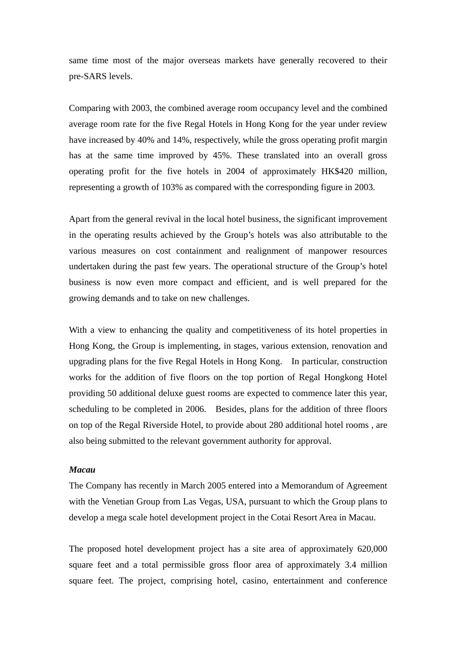same time most of the major overseas markets have generally recovered to their pre-SARS levels.

Comparing with 2003, the combined average room occupancy level and the combined average room rate for the five Regal Hotels in Hong Kong for the year under review have increased by 40% and 14%, respectively, while the gross operating profit margin has at the same time improved by 45%. These translated into an overall gross operating profit for the five hotels in 2004 of approximately HK\$420 million, representing a growth of 103% as compared with the corresponding figure in 2003.

Apart from the general revival in the local hotel business, the significant improvement in the operating results achieved by the Group's hotels was also attributable to the various measures on cost containment and realignment of manpower resources undertaken during the past few years. The operational structure of the Group's hotel business is now even more compact and efficient, and is well prepared for the growing demands and to take on new challenges.

With a view to enhancing the quality and competitiveness of its hotel properties in Hong Kong, the Group is implementing, in stages, various extension, renovation and upgrading plans for the five Regal Hotels in Hong Kong. In particular, construction works for the addition of five floors on the top portion of Regal Hongkong Hotel providing 50 additional deluxe guest rooms are expected to commence later this year, scheduling to be completed in 2006. Besides, plans for the addition of three floors on top of the Regal Riverside Hotel, to provide about 280 additional hotel rooms , are also being submitted to the relevant government authority for approval.

### *Macau*

The Company has recently in March 2005 entered into a Memorandum of Agreement with the Venetian Group from Las Vegas, USA, pursuant to which the Group plans to develop a mega scale hotel development project in the Cotai Resort Area in Macau.

The proposed hotel development project has a site area of approximately 620,000 square feet and a total permissible gross floor area of approximately 3.4 million square feet. The project, comprising hotel, casino, entertainment and conference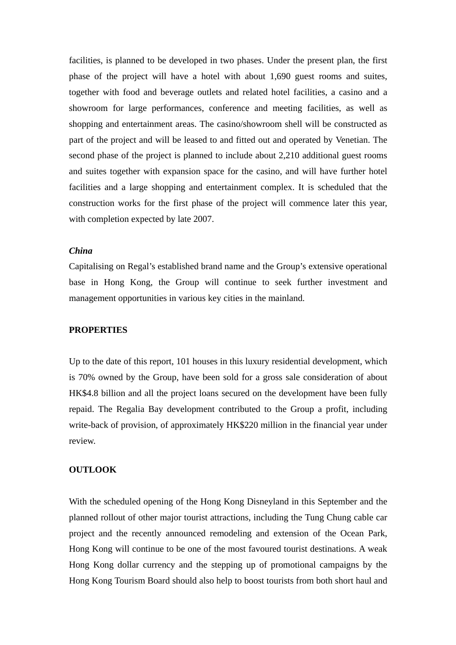facilities, is planned to be developed in two phases. Under the present plan, the first phase of the project will have a hotel with about 1,690 guest rooms and suites, together with food and beverage outlets and related hotel facilities, a casino and a showroom for large performances, conference and meeting facilities, as well as shopping and entertainment areas. The casino/showroom shell will be constructed as part of the project and will be leased to and fitted out and operated by Venetian. The second phase of the project is planned to include about 2,210 additional guest rooms and suites together with expansion space for the casino, and will have further hotel facilities and a large shopping and entertainment complex. It is scheduled that the construction works for the first phase of the project will commence later this year, with completion expected by late 2007.

## *China*

Capitalising on Regal's established brand name and the Group's extensive operational base in Hong Kong, the Group will continue to seek further investment and management opportunities in various key cities in the mainland.

#### **PROPERTIES**

Up to the date of this report, 101 houses in this luxury residential development, which is 70% owned by the Group, have been sold for a gross sale consideration of about HK\$4.8 billion and all the project loans secured on the development have been fully repaid. The Regalia Bay development contributed to the Group a profit, including write-back of provision, of approximately HK\$220 million in the financial year under review.

#### **OUTLOOK**

With the scheduled opening of the Hong Kong Disneyland in this September and the planned rollout of other major tourist attractions, including the Tung Chung cable car project and the recently announced remodeling and extension of the Ocean Park, Hong Kong will continue to be one of the most favoured tourist destinations. A weak Hong Kong dollar currency and the stepping up of promotional campaigns by the Hong Kong Tourism Board should also help to boost tourists from both short haul and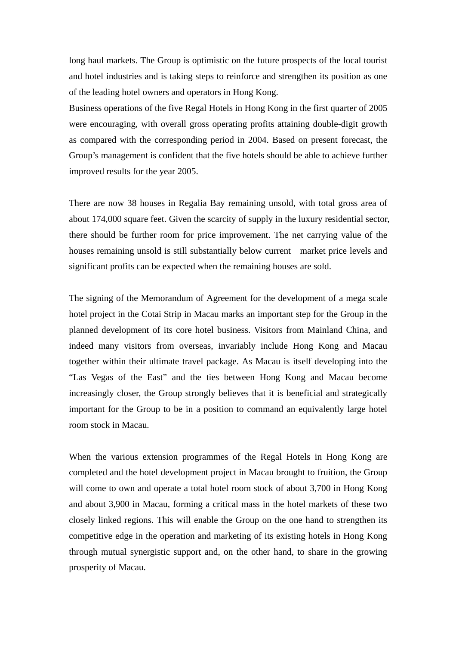long haul markets. The Group is optimistic on the future prospects of the local tourist and hotel industries and is taking steps to reinforce and strengthen its position as one of the leading hotel owners and operators in Hong Kong.

Business operations of the five Regal Hotels in Hong Kong in the first quarter of 2005 were encouraging, with overall gross operating profits attaining double-digit growth as compared with the corresponding period in 2004. Based on present forecast, the Group's management is confident that the five hotels should be able to achieve further improved results for the year 2005.

There are now 38 houses in Regalia Bay remaining unsold, with total gross area of about 174,000 square feet. Given the scarcity of supply in the luxury residential sector, there should be further room for price improvement. The net carrying value of the houses remaining unsold is still substantially below current market price levels and significant profits can be expected when the remaining houses are sold.

The signing of the Memorandum of Agreement for the development of a mega scale hotel project in the Cotai Strip in Macau marks an important step for the Group in the planned development of its core hotel business. Visitors from Mainland China, and indeed many visitors from overseas, invariably include Hong Kong and Macau together within their ultimate travel package. As Macau is itself developing into the "Las Vegas of the East" and the ties between Hong Kong and Macau become increasingly closer, the Group strongly believes that it is beneficial and strategically important for the Group to be in a position to command an equivalently large hotel room stock in Macau.

When the various extension programmes of the Regal Hotels in Hong Kong are completed and the hotel development project in Macau brought to fruition, the Group will come to own and operate a total hotel room stock of about 3,700 in Hong Kong and about 3,900 in Macau, forming a critical mass in the hotel markets of these two closely linked regions. This will enable the Group on the one hand to strengthen its competitive edge in the operation and marketing of its existing hotels in Hong Kong through mutual synergistic support and, on the other hand, to share in the growing prosperity of Macau.